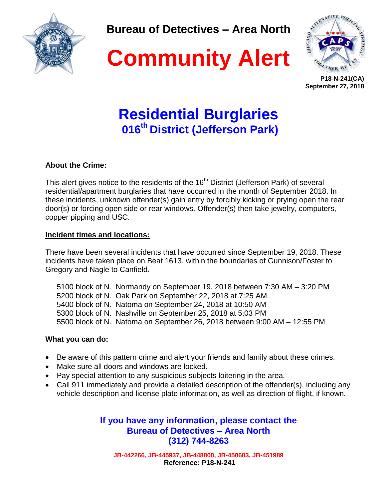

**Bureau of Detectives – Area North**





**P18-N-241(CA) September 27, 2018**

# **Residential Burglaries 016 th District (Jefferson Park)**

## **About the Crime:**

This alert gives notice to the residents of the 16<sup>th</sup> District (Jefferson Park) of several residential/apartment burglaries that have occurred in the month of September 2018. In these incidents, unknown offender(s) gain entry by forcibly kicking or prying open the rear door(s) or forcing open side or rear windows. Offender(s) then take jewelry, computers, copper pipping and USC.

### **Incident times and locations:**

There have been several incidents that have occurred since September 19, 2018. These incidents have taken place on Beat 1613, within the boundaries of Gunnison/Foster to Gregory and Nagle to Canfield.

 block of N. Normandy on September 19, 2018 between 7:30 AM – 3:20 PM block of N. Oak Park on September 22, 2018 at 7:25 AM block of N. Natoma on September 24, 2018 at 10:50 AM block of N. Nashville on September 25, 2018 at 5:03 PM 5500 block of N. Natoma on September 26, 2018 between 9:00 AM – 12:55 PM

#### **What you can do:**

- Be aware of this pattern crime and alert your friends and family about these crimes.
- Make sure all doors and windows are locked.
- Pay special attention to any suspicious subjects loitering in the area.
- Call 911 immediately and provide a detailed description of the offender(s), including any vehicle description and license plate information, as well as direction of flight, if known.

**If you have any information, please contact the Bureau of Detectives – Area North (312) 744-8263**

**JB-442266, JB-445937, JB-448800, JB-450683, JB-451989 Reference: P18-N-241**